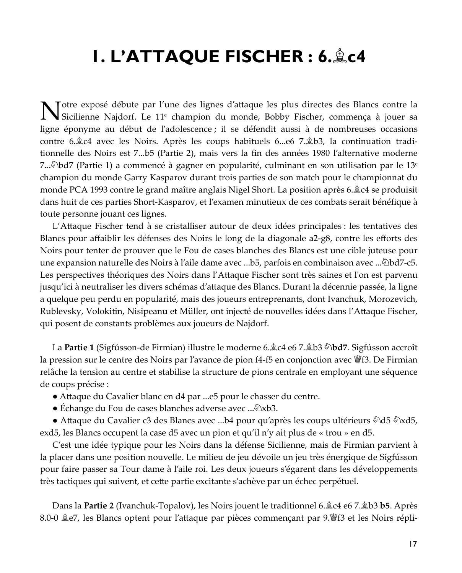# I. L'ATTAQUE FISCHER : 6. Lc4

Totre exposé débute par l'une des lignes d'attaque les plus directes des Blancs contre la Notre expose devuie par l'une des agresses du monde, Bobby Fischer, commença à jouer sa ligne éponyme au début de l'adolescence; il se défendit aussi à de nombreuses occasions contre 6. Le avec les Noirs. Après les coups habituels 6. e6 7. Le 3, la continuation traditionnelle des Noirs est 7...b5 (Partie 2), mais vers la fin des années 1980 l'alternative moderne 7... $\triangle$ bd7 (Partie 1) a commencé à gagner en popularité, culminant en son utilisation par le 13<sup>e</sup> champion du monde Garry Kasparov durant trois parties de son match pour le championnat du monde PCA 1993 contre le grand maître anglais Nigel Short. La position après 6. ê c4 se produisit dans huit de ces parties Short-Kasparov, et l'examen minutieux de ces combats serait bénéfique à toute personne jouant ces lignes.

L'Attaque Fischer tend à se cristalliser autour de deux idées principales : les tentatives des Blancs pour affaiblir les défenses des Noirs le long de la diagonale a2-g8, contre les efforts des Noirs pour tenter de prouver que le Fou de cases blanches des Blancs est une cible juteuse pour une expansion naturelle des Noirs à l'aile dame avec ...b5, parfois en combinaison avec ... Dbd7-c5. Les perspectives théoriques des Noirs dans l'Attaque Fischer sont très saines et l'on est parvenu jusqu'ici à neutraliser les divers schémas d'attaque des Blancs. Durant la décennie passée, la ligne a quelque peu perdu en popularité, mais des joueurs entreprenants, dont Ivanchuk, Morozevich, Rublevsky, Volokitin, Nisipeanu et Müller, ont injecté de nouvelles idées dans l'Attaque Fischer, qui posent de constants problèmes aux joueurs de Najdorf.

La Partie 1 (Sigfússon-de Firmian) illustre le moderne 6. ê c4 e6 7. ê b3 © bd7. Sigfússon accroît la pression sur le centre des Noirs par l'avance de pion f4-f5 en conjonction avec 曾f3. De Firmian relâche la tension au centre et stabilise la structure de pions centrale en employant une séquence de coups précise :

- Attaque du Cavalier blanc en d4 par ...e5 pour le chasser du centre.
- Echange du Fou de cases blanches adverse avec ... 2xb3.

• Attaque du Cavalier c3 des Blancs avec ...b4 pour qu'après les coups ultérieurs  $\ddot{\otimes}$ d5  $\ddot{\otimes}$ xd5, exd5, les Blancs occupent la case d5 avec un pion et qu'il n'y ait plus de « trou » en d5.

C'est une idée typique pour les Noirs dans la défense Sicilienne, mais de Firmian parvient à la placer dans une position nouvelle. Le milieu de jeu dévoile un jeu très énergique de Sigfússon pour faire passer sa Tour dame à l'aile roi. Les deux joueurs s'égarent dans les développements très tactiques qui suivent, et cette partie excitante s'achève par un échec perpétuel.

Dans la **Partie 2** (Ivanchuk-Topalov), les Noirs jouent le traditionnel 6. £ c4 e6 7. £ b3 **b5**. Après 8.0-0 & e7, les Blancs optent pour l'attaque par pièces commençant par 9. ff 3 et les Noirs répli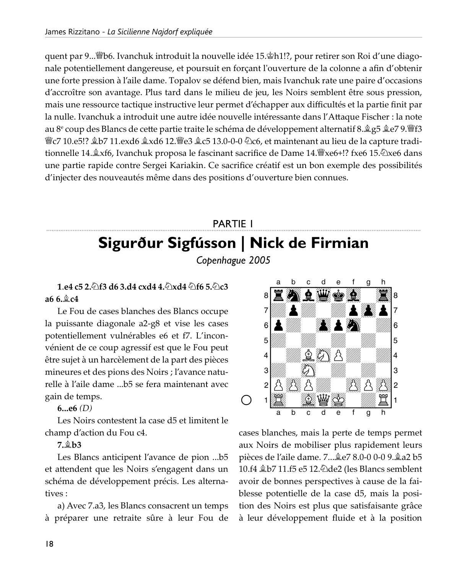quent par 9... Who. Ivanchuk introduit la nouvelle idée 15. Ph1!?, pour retirer son Roi d'une diagonale potentiellement dangereuse, et poursuit en forçant l'ouverture de la colonne a afin d'obtenir une forte pression à l'aile dame. Topalov se défend bien, mais Ivanchuk rate une paire d'occasions d'accroître son avantage. Plus tard dans le milieu de jeu, les Noirs semblent être sous pression, mais une ressource tactique instructive leur permet d'échapper aux difficultés et la partie finit par la nulle. Ivanchuk a introduit une autre idée nouvelle intéressante dans l'Attaque Fischer : la note au 8<sup>e</sup> coup des Blancs de cette partie traite le schéma de développement alternatif 8. ĝg 5 ĝe 79. ĝa f3 曾c7 10.e5!? இb7 11.exd6 ஆxd6 12.曾e3 இc5 13.0-0-0 公c6, et maintenant au lieu de la capture traditionnelle 14. £xf6, Ivanchuk proposa le fascinant sacrifice de Dame 14. Fxe6+!? fxe6 15. 2xe6 dans une partie rapide contre Sergei Kariakin. Ce sacrifice créatif est un bon exemple des possibilités d'injecter des nouveautés même dans des positions d'ouverture bien connues.

# **PARTIE I** Sigurður Sigfússon | Nick de Firmian

Copenhague 2005

1.e4 c5 2. f3 d6 3.d4 cxd4 4. Axd4 46 5. Ac3 a6 6. $\&$  c4

Le Fou de cases blanches des Blancs occupe la puissante diagonale a2-g8 et vise les cases potentiellement vulnérables e6 et f7. L'inconvénient de ce coup agressif est que le Fou peut être sujet à un harcèlement de la part des pièces mineures et des pions des Noirs; l'avance naturelle à l'aile dame ...b5 se fera maintenant avec gain de temps.

6...e6 $(D)$ 

Les Noirs contestent la case d5 et limitent le champ d'action du Fou c4.

 $7 \text{ } \oplus \text{ } h3$ 

Les Blancs anticipent l'avance de pion ...b5 et attendent que les Noirs s'engagent dans un schéma de développement précis. Les alternatives:

a) Avec 7.a3, les Blancs consacrent un temps à préparer une retraite sûre à leur Fou de



cases blanches, mais la perte de temps permet aux Noirs de mobiliser plus rapidement leurs pièces de l'aile dame. 7... ê e 78.0-0 0-0 9. ê a 2 b 5 10.f4  $\&b7$  11.f5 e5 12.  $\&d$  de2 (les Blancs semblent avoir de bonnes perspectives à cause de la faiblesse potentielle de la case d5, mais la position des Noirs est plus que satisfaisante grâce à leur développement fluide et à la position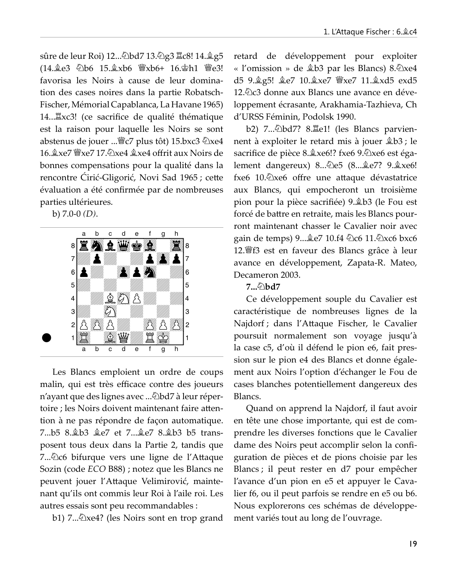sûre de leur Roi) 12... 2bd7 13. 2g3 lc8! 14. 2g5 (14. e3 公b6 15. gxb6 曾xb6+ 16. gh1 曾e3! favorisa les Noirs à cause de leur domination des cases noires dans la partie Robatsch-Fischer, Mémorial Capablanca, La Havane 1965) 14... Lacordice de qualité thématique est la raison pour laquelle les Noirs se sont abstenus de jouer ... Fc7 plus tôt) 15.bxc3 2xe4 16. xe7 *Y* axe7 17. 2xe4 *g* xe4 offrit aux Noirs de bonnes compensations pour la qualité dans la rencontre Cirić-Gligorić, Novi Sad 1965; cette évaluation a été confirmée par de nombreuses parties ultérieures.

b)  $7.0-0$   $(D)$ .



Les Blancs emploient un ordre de coups malin, qui est très efficace contre des joueurs n'ayant que des lignes avec ... Dbd7 à leur répertoire ; les Noirs doivent maintenant faire attention à ne pas répondre de façon automatique. 7...b5 8.奠b3 奠e7 et 7...奠e7 8.奠b3 b5 transposent tous deux dans la Partie 2, tandis que 7... Dc6 bifurque vers une ligne de l'Attaque Sozin (code ECO B88) ; notez que les Blancs ne peuvent jouer l'Attaque Velimirović, maintenant qu'ils ont commis leur Roi à l'aile roi. Les autres essais sont peu recommandables :

b1) 7... $\&$ xe4? (les Noirs sont en trop grand

retard de développement pour exploiter « l'omission » de  $\&b3$  par les Blancs) 8. Dxe4 d5 9. g5! ge7 10. gxe7 曾xe7 11. gxd5 exd5 12. De 3 donne aux Blancs une avance en développement écrasante, Arakhamia-Tazhieva, Ch d'URSS Féminin, Podolsk 1990.

b2) 7... Dbd7? 8. Le1! (les Blancs parviennent à exploiter le retard mis à jouer \$b3 ; le sacrifice de pièce 8. xe6!? fxe6 9. Dxe6 est également dangereux) 8... De5 (8... e7? 9. gxe6! fxe6 10. lxe6 offre une attaque dévastatrice aux Blancs, qui empocheront un troisième pion pour la pièce sacrifiée) 9. à b3 (le Fou est forcé de battre en retraite, mais les Blancs pourront maintenant chasser le Cavalier noir avec gain de temps) 9... ge7 10.f4 ②c6 11. ②xc6 bxc6 12. f3 est en faveur des Blancs grâce à leur avance en développement, Zapata-R. Mateo, Decameron 2003.

# $7...\bar{6}$  hd  $7$

Ce développement souple du Cavalier est caractéristique de nombreuses lignes de la Najdorf ; dans l'Attaque Fischer, le Cavalier poursuit normalement son voyage jusqu'à la case c5, d'où il défend le pion e6, fait pression sur le pion e4 des Blancs et donne également aux Noirs l'option d'échanger le Fou de cases blanches potentiellement dangereux des Blancs.

Quand on apprend la Najdorf, il faut avoir en tête une chose importante, qui est de comprendre les diverses fonctions que le Cavalier dame des Noirs peut accomplir selon la configuration de pièces et de pions choisie par les Blancs; il peut rester en d7 pour empêcher l'avance d'un pion en e5 et appuyer le Cavalier f6, ou il peut parfois se rendre en e5 ou b6. Nous explorerons ces schémas de développement variés tout au long de l'ouvrage.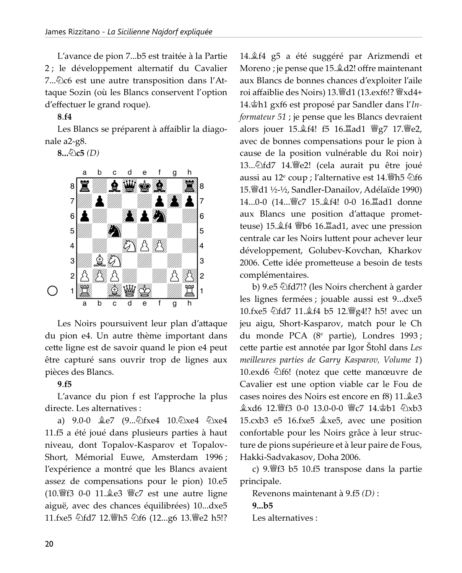L'avance de pion 7...b5 est traitée à la Partie 2; le développement alternatif du Cavalier 7... De est une autre transposition dans l'Attaque Sozin (où les Blancs conservent l'option d'effectuer le grand roque).

## $8.f4$

Les Blancs se préparent à affaiblir la diagonale a2-g8.

8... $\&$ c5 (D)



Les Noirs poursuivent leur plan d'attaque du pion e4. Un autre thème important dans cette ligne est de savoir quand le pion e4 peut être capturé sans ouvrir trop de lignes aux pièces des Blancs.

# $9f5$

L'avance du pion f est l'approche la plus directe. Les alternatives :

a) 9.0-0  $2e7$  (9... $\Delta$ fxe4 10. $\Delta$ xe4  $\Delta$ xe4 11.f5 a été joué dans plusieurs parties à haut niveau, dont Topalov-Kasparov et Topalov-Short, Mémorial Euwe, Amsterdam 1996; l'expérience a montré que les Blancs avaient assez de compensations pour le pion) 10.e5 (10. ff 3 0-0 11. e3 *We7* est une autre ligne aiguë, avec des chances équilibrées) 10...dxe5 11.fxe5 公fd7 12. th5 公f6 (12...g6 13. se2 h5!?

14. Îf4 g5 a été suggéré par Arizmendi et Moreno ; je pense que 15. d2! offre maintenant aux Blancs de bonnes chances d'exploiter l'aile roi affaiblie des Noirs) 13. d1 (13. exf6!? @ xd4+ 14. Ph1 gxf6 est proposé par Sandler dans l'In*formateur* 51 ; je pense que les Blancs devraient alors jouer 15. f4! f5 16. Lad1 彎g7 17. Se2, avec de bonnes compensations pour le pion à cause de la position vulnérable du Roi noir) 13... Dfd7 14. Fe2! (cela aurait pu être joué aussi au 12<sup>e</sup> coup ; l'alternative est 14. Iles 2f6 15. d1 1/2-1/2, Sandler-Danailov, Adélaïde 1990) 14...0-0 (14... sc 7 15. of 4! 0-0 16. Ead1 donne aux Blancs une position d'attaque prometteuse) 15. f4 *Wb6* 16. Lad1, avec une pression centrale car les Noirs luttent pour achever leur développement, Golubev-Kovchan, Kharkov 2006. Cette idée prometteuse a besoin de tests complémentaires.

b) 9.e5 Dfd7!? (les Noirs cherchent à garder les lignes fermées ; jouable aussi est 9...dxe5 10.fxe5 公fd7 11.盒f4 b5 12. [g4!? h5! avec un jeu aigu, Short-Kasparov, match pour le Ch du monde PCA (8<sup>e</sup> partie), Londres 1993; cette partie est annotée par Igor Stohl dans Les meilleures parties de Garry Kasparov, Volume 1) 10. exd6 \diffects (note z que cette manœuvre de Cavalier est une option viable car le Fou de cases noires des Noirs est encore en f8) 11. e3 **盒xd6 12.瞥f3 0-0 13.0-0-0 響c7 14. 白b1 ②xb3** 15.cxb3 e5 16.fxe5  $x \ge 5$ , avec une position confortable pour les Noirs grâce à leur structure de pions supérieure et à leur paire de Fous, Hakki-Sadvakasov, Doha 2006.

c) 9. f3 b5 10.f5 transpose dans la partie principale.

Revenons maintenant à  $9.65$  (D):  $9...b5$ Les alternatives :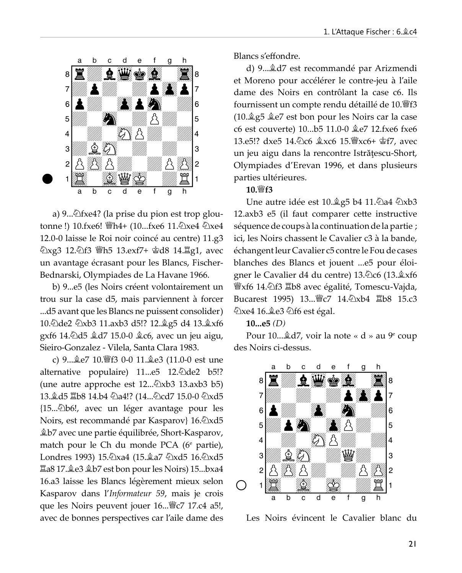

a) 9....  $\triangle$ fxe4? (la prise du pion est trop gloutonne!) 10.fxe6! \html Th4+ (10...fxe6 11. 2xe4 2xe4 12.0-0 laisse le Roi noir coincé au centre) 11.g3 ②xg3 12.④f3 彎h5 13.exf7+ 含d8 14.罝g1, avec un avantage écrasant pour les Blancs, Fischer-Bednarski, Olympiades de La Havane 1966.

b) 9...e5 (les Noirs créent volontairement un trou sur la case d5, mais parviennent à forcer ...d5 avant que les Blancs ne puissent consolider) 10. Dde2 2xb3 11.axb3 d5!? 12. g5 d4 13. gxf6 gxf6 14. d5  $d7$  15.0-0  $d6$ , avec un jeu aigu, Sieiro-Gonzalez - Vilela, Santa Clara 1983.

c) 9... e7 10. lf3 0-0 11. e3 (11.0-0 est une alternative populaire) 11...e5 12. @de2 b5!? (une autre approche est  $12...\&xb3$  13.axb3 b5) 13. d5 国b8 14.b4 ②a4!? (14...②cd7 15.0-0 ②xd5 {15... \b6!, avec un léger avantage pour les Noirs, est recommandé par Kasparov} 16. 2xd5 **\/#2b7** avec une partie équilibrée, Short-Kasparov, match pour le Ch du monde PCA ( $6^e$  partie), Londres 1993) 15. Axa4 (15. ga7 2xd5 16. Axd5 置a8 17.奠e3 ĝb7 est bon pour les Noirs) 15...bxa4 16.a3 laisse les Blancs légèrement mieux selon Kasparov dans l'Informateur 59, mais je crois que les Noirs peuvent jouer 16... Fez 17.c4 a5!, avec de bonnes perspectives car l'aile dame des Blancs s'effondre

d) 9... $\triangleleft$ d7 est recommandé par Arizmendi et Moreno pour accélérer le contre-jeu à l'aile dame des Noirs en contrôlant la case c6. Ils fournissent un compte rendu détaillé de 10. ff3  $(10.\angle 2g5 \angle 2e7$  est bon pour les Noirs car la case c6 est couverte) 10...b5 11.0-0  $\&e$ e7 12.fxe6 fxe6 13.e5!? dxe5 14. àc6 盒xc6 15. sxc6+ 含f7, avec un jeu aigu dans la rencontre Istrățescu-Short, Olympiades d'Erevan 1996, et dans plusieurs parties ultérieures.

#### 10. $\frac{W}{2}$ f3

Une autre idée est 10. ĝg5 b4 11. ۞ a4 ۞ xb3 12.axb3 e5 (il faut comparer cette instructive séquence de coups à la continuation de la partie ; ici, les Noirs chassent le Cavalier c3 à la bande, échangent leur Cavalier c5 contre le Fou de cases blanches des Blancs et jouent ...e5 pour éloigner le Cavalier d4 du centre) 13.2c6 (13.2xf6 *s* xf6 14. t3 lb8 avec égalité, Tomescu-Vajda, Bucarest 1995) 13...曾c7 14.2xb4 罩b8 15.c3 විxe4 16. දී e3 විf6 est égal.

 $10...e5$  (D)

Pour 10... $\triangleleft$ d7, voir la note « d » au 9<sup>e</sup> coup des Noirs ci-dessus.



Les Noirs évincent le Cavalier blanc du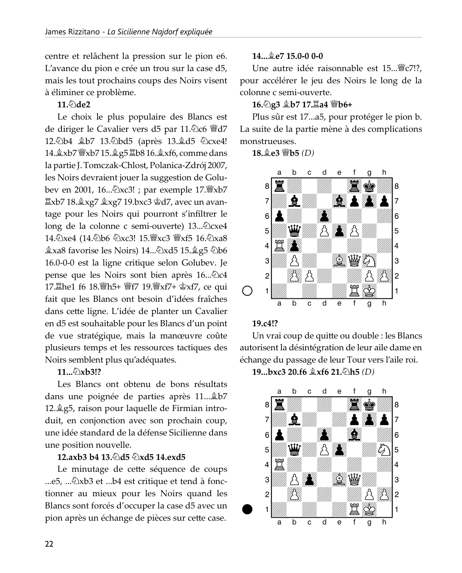centre et relâchent la pression sur le pion e6. L'avance du pion e crée un trou sur la case d5, mais les tout prochains coups des Noirs visent à éliminer ce problème.

# $11.$   $\Diamond$  de2

Le choix le plus populaire des Blancs est de diriger le Cavalier vers d5 par 11. Dc6 Wed7 12. Db4 盒b7 13. Dbd5 (après 13. 鱼d5 它 cxe4! la partie J. Tomczak-Chlost, Polanica-Zdrój 2007, les Noirs devraient jouer la suggestion de Golubev en 2001, 16... 2xc3! ; par exemple 17. \$xb7 置xb7 18. xg7 盒xg7 19.bxc3 查d7, avec un avantage pour les Noirs qui pourront s'infiltrer le long de la colonne c semi-ouverte) 13... [2] cxe4 14. Дхе4 (14. Дь6 Дхс3! 15. Ухс3 Ухf5 16. Дха8 拿xa8 favorise les Noirs) 14…②xd5 15. g5 ②b6 16.0-0-0 est la ligne critique selon Golubev. Je pense que les Noirs sont bien après 16... De4 17. he1 f6 18. 瞥h5+ 瞥f7 19. 瞥xf7+ 含xf7, ce qui fait que les Blancs ont besoin d'idées fraîches dans cette ligne. L'idée de planter un Cavalier en d5 est souhaitable pour les Blancs d'un point de vue stratégique, mais la manœuvre coûte plusieurs temps et les ressources tactiques des Noirs semblent plus qu'adéquates.

# $11...$  $\sqrt{2}$   $x b 3!$ ?

Les Blancs ont obtenu de bons résultats dans une poignée de parties après 11... \$b7 12. g5, raison pour laquelle de Firmian introduit, en conjonction avec son prochain coup, une idée standard de la défense Sicilienne dans une position nouvelle.

# 12.axb3 b4 13.2d5 2xd5 14.exd5

Le minutage de cette séquence de coups tionner au mieux pour les Noirs quand les Blancs sont forcés d'occuper la case d5 avec un pion après un échange de pièces sur cette case.

# $14...$   $2e715.0-0.0-0$

Une autre idée raisonnable est 15... FC7!?, pour accélérer le jeu des Noirs le long de la colonne c semi-ouverte.

# 16. g3 盒b7 17. la4 曾b6+

Plus sûr est 17...a5, pour protéger le pion b. La suite de la partie mène à des complications monstrueuses.

18. e3  $\Psi$ b5 (D)



# 19.c4!?

Un vrai coup de quitte ou double : les Blancs autorisent la désintégration de leur aile dame en échange du passage de leur Tour vers l'aile roi.

19...bxc3 20.f6 盒xf6 21. h5 (D)